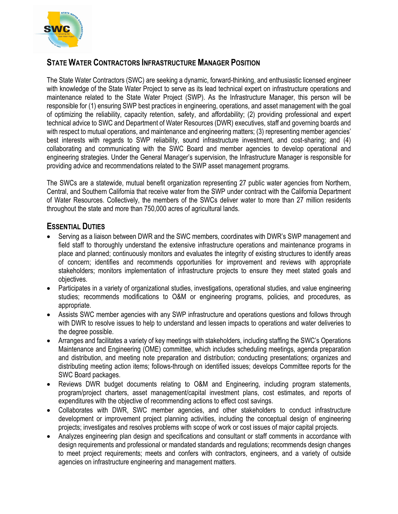

# **STATE WATER CONTRACTORS INFRASTRUCTURE MANAGER POSITION**

The State Water Contractors (SWC) are seeking a dynamic, forward-thinking, and enthusiastic licensed engineer with knowledge of the State Water Project to serve as its lead technical expert on infrastructure operations and maintenance related to the State Water Project (SWP). As the Infrastructure Manager, this person will be responsible for (1) ensuring SWP best practices in engineering, operations, and asset management with the goal of optimizing the reliability, capacity retention, safety, and affordability; (2) providing professional and expert technical advice to SWC and Department of Water Resources (DWR) executives, staff and governing boards and with respect to mutual operations, and maintenance and engineering matters; (3) representing member agencies' best interests with regards to SWP reliability, sound infrastructure investment, and cost-sharing; and (4) collaborating and communicating with the SWC Board and member agencies to develop operational and engineering strategies. Under the General Manager's supervision, the Infrastructure Manager is responsible for providing advice and recommendations related to the SWP asset management programs.

The SWCs are a statewide, mutual benefit organization representing 27 public water agencies from Northern, Central, and Southern California that receive water from the SWP under contract with the California Department of Water Resources. Collectively, the members of the SWCs deliver water to more than 27 million residents throughout the state and more than 750,000 acres of agricultural lands.

## **ESSENTIAL DUTIES**

- Serving as a liaison between DWR and the SWC members, coordinates with DWR's SWP management and field staff to thoroughly understand the extensive infrastructure operations and maintenance programs in place and planned; continuously monitors and evaluates the integrity of existing structures to identify areas of concern; identifies and recommends opportunities for improvement and reviews with appropriate stakeholders; monitors implementation of infrastructure projects to ensure they meet stated goals and objectives.
- Participates in a variety of organizational studies, investigations, operational studies, and value engineering studies; recommends modifications to O&M or engineering programs, policies, and procedures, as appropriate.
- Assists SWC member agencies with any SWP infrastructure and operations questions and follows through with DWR to resolve issues to help to understand and lessen impacts to operations and water deliveries to the degree possible.
- Arranges and facilitates a variety of key meetings with stakeholders, including staffing the SWC's Operations Maintenance and Engineering (OME) committee, which includes scheduling meetings, agenda preparation and distribution, and meeting note preparation and distribution; conducting presentations; organizes and distributing meeting action items; follows-through on identified issues; develops Committee reports for the SWC Board packages.
- Reviews DWR budget documents relating to O&M and Engineering, including program statements, program/project charters, asset management/capital investment plans, cost estimates, and reports of expenditures with the objective of recommending actions to effect cost savings.
- Collaborates with DWR, SWC member agencies, and other stakeholders to conduct infrastructure development or improvement project planning activities, including the conceptual design of engineering projects; investigates and resolves problems with scope of work or cost issues of major capital projects.
- Analyzes engineering plan design and specifications and consultant or staff comments in accordance with design requirements and professional or mandated standards and regulations; recommends design changes to meet project requirements; meets and confers with contractors, engineers, and a variety of outside agencies on infrastructure engineering and management matters.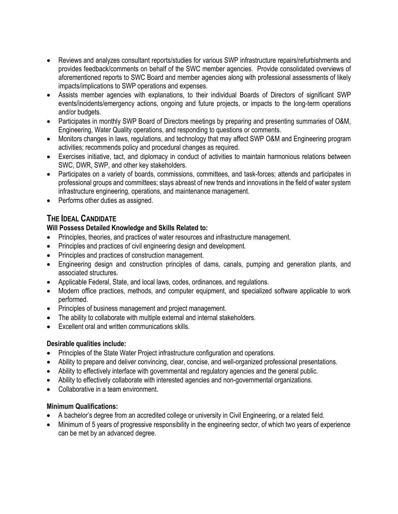- Reviews and analyzes consultant reports/studies for various SWP infrastructure repairs/refurbishments and provides feedback/comments on behalf of the SWC member agencies. Provide consolidated overviews of aforementioned reports to SWC Board and member agencies along with professional assessments of likely impacts/implications to SWP operations and expenses.
- Assists member agencies with explanations, to their individual Boards of Directors of significant SWP events/incidents/emergency actions, ongoing and future projects, or impacts to the long-term operations and/or budgets.
- Participates in monthly SWP Board of Directors meetings by preparing and presenting summaries of O&M, Engineering, Water Quality operations, and responding to questions or comments.
- Monitors changes in laws, regulations, and technology that may affect SWP O&M and Engineering program activities; recommends policy and procedural changes as required.
- Exercises initiative, tact, and diplomacy in conduct of activities to maintain harmonious relations between SWC, DWR, SWP, and other key stakeholders.
- Participates on a variety of boards, commissions, committees, and task-forces; attends and participates in professional groups and committees; stays abreast of new trends and innovations in the field of water system infrastructure engineering, operations, and maintenance management.
- Performs other duties as assigned.

# **THE IDEAL CANDIDATE**

## **Will Possess Detailed Knowledge and Skills Related to:**

- Principles, theories, and practices of water resources and infrastructure management.
- Principles and practices of civil engineering design and development.
- Principles and practices of construction management.
- Engineering design and construction principles of dams, canals, pumping and generation plants, and associated structures.
- Applicable Federal, State, and local laws, codes, ordinances, and regulations.
- Modern office practices, methods, and computer equipment, and specialized software applicable to work performed.
- Principles of business management and project management.
- The ability to collaborate with multiple external and internal stakeholders.
- Excellent oral and written communications skills.

### **Desirable qualities include:**

- Principles of the State Water Project infrastructure configuration and operations.
- Ability to prepare and deliver convincing, clear, concise, and well-organized professional presentations.
- Ability to effectively interface with governmental and regulatory agencies and the general public.
- Ability to effectively collaborate with interested agencies and non-governmental organizations.
- Collaborative in a team environment.

### **Minimum Qualifications:**

- A bachelor's degree from an accredited college or university in Civil Engineering, or a related field.
- Minimum of 5 years of progressive responsibility in the engineering sector, of which two years of experience can be met by an advanced degree.